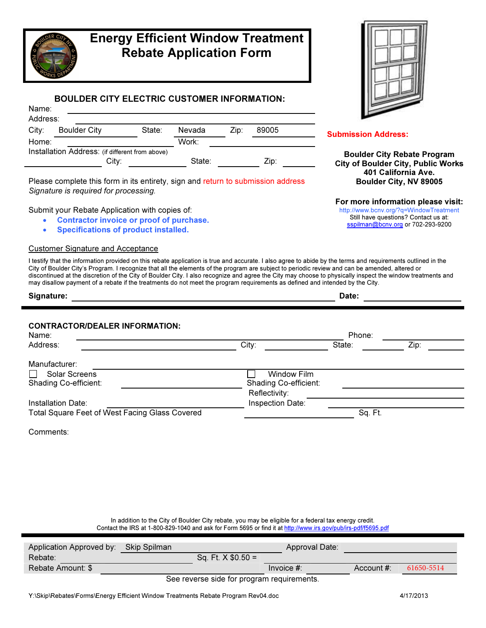

# Energy Efficient Window Treatment Rebate Application Form

## BOULDER CITY ELECTRIC CUSTOMER INFORMATION:

| Name:    |                     |                                                 |        |      |       |  |
|----------|---------------------|-------------------------------------------------|--------|------|-------|--|
| Address: |                     |                                                 |        |      |       |  |
| City:    | <b>Boulder City</b> | State:                                          | Nevada | Zip: | 89005 |  |
| Home:    |                     |                                                 | Work:  |      |       |  |
|          |                     | Installation Address: (if different from above) |        |      |       |  |
|          |                     | City:                                           | State: |      | Zip:  |  |

Please complete this form in its entirety, sign and return to submission address Signature is required for processing.

Submit your Rebate Application with copies of:

- Contractor invoice or proof of purchase.
- Specifications of product installed.

#### Customer Signature and Acceptance

I testify that the information provided on this rebate application is true and accurate. I also agree to abide by the terms and requirements outlined in the City of Boulder City's Program. I recognize that all the elements of the program are subject to periodic review and can be amended, altered or discontinued at the discretion of the City of Boulder City. I also recognize and agree the City may choose to physically inspect the window treatments and may disallow payment of a rebate if the treatments do not meet the program requirements as defined and intended by the City.

| Date:            |                        |                                        |      |  |
|------------------|------------------------|----------------------------------------|------|--|
|                  |                        |                                        |      |  |
|                  |                        |                                        |      |  |
|                  | State:                 |                                        |      |  |
|                  |                        |                                        |      |  |
| Window Film      |                        |                                        |      |  |
|                  |                        |                                        |      |  |
|                  |                        |                                        |      |  |
| Inspection Date: |                        |                                        |      |  |
|                  | City:<br>Reflectivity: | Phone:<br><b>Shading Co-efficient:</b> | Zip: |  |

Total Square Feet of West Facing Glass Covered Sq. Ft. Sq. Ft. Sq. Ft.

Comments:

In addition to the City of Boulder City rebate, you may be eligible for a federal tax energy credit.

Contact the IRS at 1-800-829-1040 and ask for Form 5695 or find it at http://www.irs.gov/pub/irs-pdf/f5695.pdf

| Application Approved by: Skip Spilman |                                            | Approval Date: |               |            |
|---------------------------------------|--------------------------------------------|----------------|---------------|------------|
| Rebate:                               | Sq. Ft. $X$ \$0.50 =                       |                |               |            |
| Rebate Amount: \$                     |                                            | Invoice $#$ :  | Account $#$ : | 61650-5514 |
|                                       | See reverse side for program requirements. |                |               |            |



#### Submission Address:

Boulder City Rebate Program City of Boulder City, Public Works 401 California Ave. Boulder City, NV 89005

For more information please visit:

http://www.bcnv.org/?q=WindowTreatment Still have questions? Contact us at: sspilman@bcnv.org or 702-293-9200